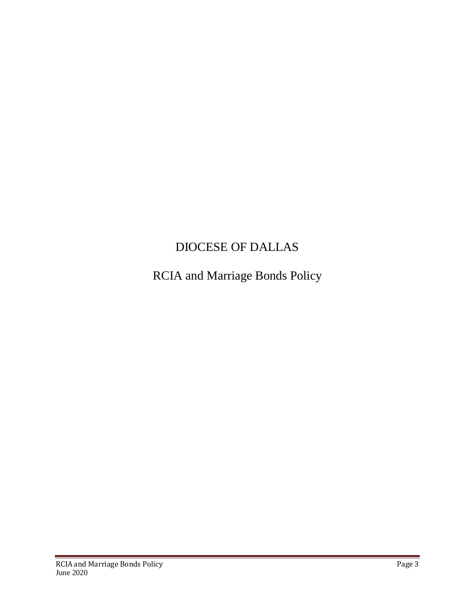## DIOCESE OF DALLAS

RCIA and Marriage Bonds Policy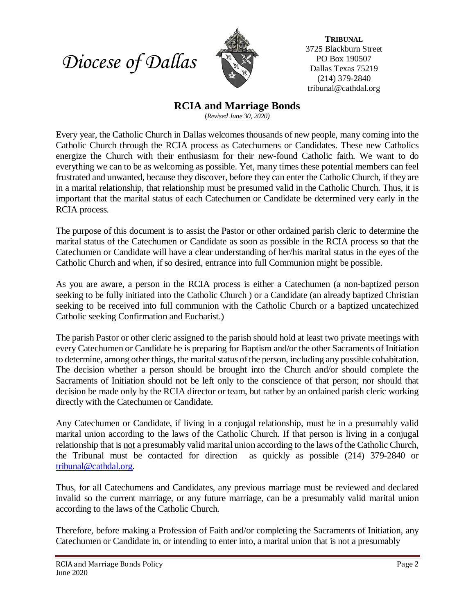



**TRIBUNAL** 3725 Blackburn Street PO Box 190507 Dallas Texas 75219 (214) 379-2840 tribunal@cathdal.org

## **RCIA and Marriage Bonds**

(*Revised June 30, 2020)*

Every year, the Catholic Church in Dallas welcomes thousands of new people, many coming into the Catholic Church through the RCIA process as Catechumens or Candidates. These new Catholics energize the Church with their enthusiasm for their new-found Catholic faith. We want to do everything we can to be as welcoming as possible. Yet, many times these potential members can feel frustrated and unwanted, because they discover, before they can enter the Catholic Church, if they are in a marital relationship, that relationship must be presumed valid in the Catholic Church. Thus, it is important that the marital status of each Catechumen or Candidate be determined very early in the RCIA process.

The purpose of this document is to assist the Pastor or other ordained parish cleric to determine the marital status of the Catechumen or Candidate as soon as possible in the RCIA process so that the Catechumen or Candidate will have a clear understanding of her/his marital status in the eyes of the Catholic Church and when, if so desired, entrance into full Communion might be possible.

As you are aware, a person in the RCIA process is either a Catechumen (a non-baptized person seeking to be fully initiated into the Catholic Church ) or a Candidate (an already baptized Christian seeking to be received into full communion with the Catholic Church or a baptized uncatechized Catholic seeking Confirmation and Eucharist.)

The parish Pastor or other cleric assigned to the parish should hold at least two private meetings with every Catechumen or Candidate he is preparing for Baptism and/or the other Sacraments of Initiation to determine, among other things, the marital status of the person, including any possible cohabitation. The decision whether a person should be brought into the Church and/or should complete the Sacraments of Initiation should not be left only to the conscience of that person; nor should that decision be made only by the RCIA director or team, but rather by an ordained parish cleric working directly with the Catechumen or Candidate.

Any Catechumen or Candidate, if living in a conjugal relationship, must be in a presumably valid marital union according to the laws of the Catholic Church. If that person is living in a conjugal relationship that is not a presumably valid marital union according to the laws of the Catholic Church, the Tribunal must be contacted for direction as quickly as possible (214) 379-2840 or [tribunal@cathdal.org.](mailto:tribunal@cathdal.org)

Thus, for all Catechumens and Candidates, any previous marriage must be reviewed and declared invalid so the current marriage, or any future marriage, can be a presumably valid marital union according to the laws of the Catholic Church.

Therefore, before making a Profession of Faith and/or completing the Sacraments of Initiation, any Catechumen or Candidate in, or intending to enter into, a marital union that is not a presumably